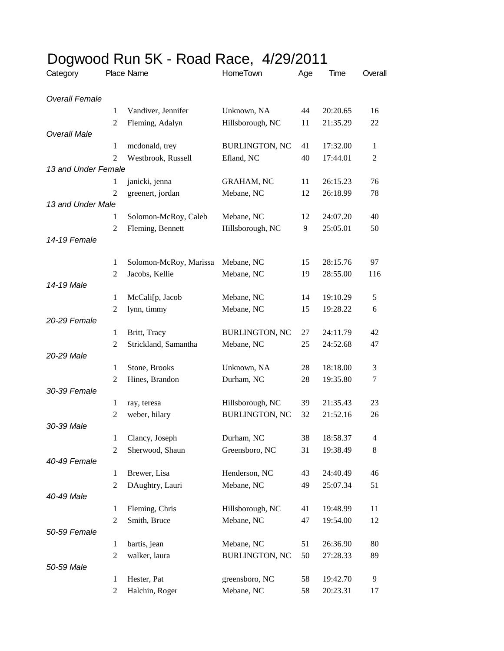| Dogwood Run 5K - Road Race, 4/29/2011 |                |                        |                       |     |          |         |  |  |
|---------------------------------------|----------------|------------------------|-----------------------|-----|----------|---------|--|--|
| Category                              |                | Place Name             | HomeTown              | Age | Time     | Overall |  |  |
| <b>Overall Female</b>                 |                |                        |                       |     |          |         |  |  |
|                                       | 1              | Vandiver, Jennifer     | Unknown, NA           | 44  | 20:20.65 | 16      |  |  |
|                                       | 2              | Fleming, Adalyn        | Hillsborough, NC      | 11  | 21:35.29 | 22      |  |  |
| <b>Overall Male</b>                   |                |                        |                       |     |          |         |  |  |
|                                       | $\mathbf{1}$   | mcdonald, trey         | <b>BURLINGTON, NC</b> | 41  | 17:32.00 | 1       |  |  |
|                                       | 2              | Westbrook, Russell     | Efland, NC            | 40  | 17:44.01 | 2       |  |  |
| 13 and Under Female                   |                |                        |                       |     |          |         |  |  |
|                                       | 1              | janicki, jenna         | <b>GRAHAM, NC</b>     | 11  | 26:15.23 | 76      |  |  |
|                                       | 2              | greenert, jordan       | Mebane, NC            | 12  | 26:18.99 | 78      |  |  |
| 13 and Under Male                     |                |                        |                       |     |          |         |  |  |
|                                       | 1              | Solomon-McRoy, Caleb   | Mebane, NC            | 12  | 24:07.20 | 40      |  |  |
| 14-19 Female                          | 2              | Fleming, Bennett       | Hillsborough, NC      | 9   | 25:05.01 | 50      |  |  |
|                                       |                |                        |                       |     |          |         |  |  |
|                                       | 1              | Solomon-McRoy, Marissa | Mebane, NC            | 15  | 28:15.76 | 97      |  |  |
|                                       | 2              | Jacobs, Kellie         | Mebane, NC            | 19  | 28:55.00 | 116     |  |  |
| 14-19 Male                            |                |                        |                       |     |          |         |  |  |
|                                       | 1              | McCali[p, Jacob        | Mebane, NC            | 14  | 19:10.29 | 5       |  |  |
|                                       | $\overline{c}$ | lynn, timmy            | Mebane, NC            | 15  | 19:28.22 | 6       |  |  |
| 20-29 Female                          | $\mathbf{1}$   |                        |                       | 27  |          | 42      |  |  |
|                                       | 2              | Britt, Tracy           | <b>BURLINGTON, NC</b> | 25  | 24:11.79 |         |  |  |
| 20-29 Male                            |                | Strickland, Samantha   | Mebane, NC            |     | 24:52.68 | 47      |  |  |
|                                       | 1              | Stone, Brooks          | Unknown, NA           | 28  | 18:18.00 | 3       |  |  |
|                                       | 2              | Hines, Brandon         | Durham, NC            | 28  | 19:35.80 | 7       |  |  |
| 30-39 Female                          |                |                        |                       |     |          |         |  |  |
|                                       | 1              | ray, teresa            | Hillsborough, NC      | 39  | 21:35.43 | 23      |  |  |
|                                       | 2              | weber, hilary          | <b>BURLINGTON, NC</b> | 32  | 21:52.16 | 26      |  |  |
| 30-39 Male                            |                |                        |                       |     |          |         |  |  |
|                                       | 1              | Clancy, Joseph         | Durham, NC            | 38  | 18:58.37 | 4       |  |  |
|                                       | $\overline{2}$ | Sherwood, Shaun        | Greensboro, NC        | 31  | 19:38.49 | 8       |  |  |
| 40-49 Female                          |                |                        |                       |     |          |         |  |  |
|                                       | $\mathbf{1}$   | Brewer, Lisa           | Henderson, NC         | 43  | 24:40.49 | 46      |  |  |
|                                       | $\overline{2}$ | DAughtry, Lauri        | Mebane, NC            | 49  | 25:07.34 | 51      |  |  |
| 40-49 Male                            |                |                        |                       |     |          |         |  |  |
|                                       | $\mathbf{1}$   | Fleming, Chris         | Hillsborough, NC      | 41  | 19:48.99 | 11      |  |  |
|                                       | $\overline{2}$ | Smith, Bruce           | Mebane, NC            | 47  | 19:54.00 | 12      |  |  |
| 50-59 Female                          |                |                        |                       |     |          |         |  |  |
|                                       | $\mathbf{1}$   | bartis, jean           | Mebane, NC            | 51  | 26:36.90 | 80      |  |  |
|                                       | $\overline{2}$ | walker, laura          | <b>BURLINGTON, NC</b> | 50  | 27:28.33 | 89      |  |  |
| 50-59 Male                            |                |                        |                       |     |          |         |  |  |
|                                       | 1              | Hester, Pat            | greensboro, NC        | 58  | 19:42.70 | 9       |  |  |
|                                       | $\overline{c}$ | Halchin, Roger         | Mebane, NC            | 58  | 20:23.31 | 17      |  |  |